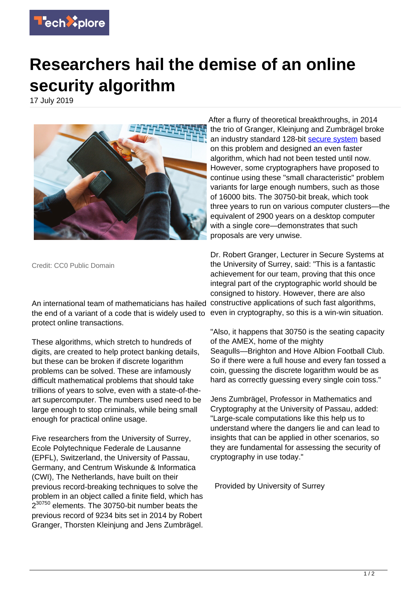

## **Researchers hail the demise of an online security algorithm**

17 July 2019



Credit: CC0 Public Domain

An international team of mathematicians has hailed the end of a variant of a code that is widely used to protect online transactions.

These algorithms, which stretch to hundreds of digits, are created to help protect banking details, but these can be broken if discrete logarithm problems can be solved. These are infamously difficult mathematical problems that should take trillions of years to solve, even with a state-of-theart supercomputer. The numbers used need to be large enough to stop criminals, while being small enough for practical online usage.

Five researchers from the University of Surrey, Ecole Polytechnique Federale de Lausanne (EPFL), Switzerland, the University of Passau, Germany, and Centrum Wiskunde & Informatica (CWI), The Netherlands, have built on their previous record-breaking techniques to solve the problem in an object called a finite field, which has 2<sup>30750</sup> elements. The 30750-bit number beats the previous record of 9234 bits set in 2014 by Robert Granger, Thorsten Kleinjung and Jens Zumbrägel.

After a flurry of theoretical breakthroughs, in 2014 the trio of Granger, Kleinjung and Zumbrägel broke an industry standard 128-bit [secure system](https://techxplore.com/tags/secure+system/) based on this problem and designed an even faster algorithm, which had not been tested until now. However, some cryptographers have proposed to continue using these "small characteristic" problem variants for large enough numbers, such as those of 16000 bits. The 30750-bit break, which took three years to run on various computer clusters—the equivalent of 2900 years on a desktop computer with a single core—demonstrates that such proposals are very unwise.

Dr. Robert Granger, Lecturer in Secure Systems at the University of Surrey, said: "This is a fantastic achievement for our team, proving that this once integral part of the cryptographic world should be consigned to history. However, there are also constructive applications of such fast algorithms, even in cryptography, so this is a win-win situation.

"Also, it happens that 30750 is the seating capacity of the AMEX, home of the mighty Seagulls—Brighton and Hove Albion Football Club. So if there were a full house and every fan tossed a coin, guessing the discrete logarithm would be as hard as correctly quessing every single coin toss."

Jens Zumbrägel, Professor in Mathematics and Cryptography at the University of Passau, added: "Large-scale computations like this help us to understand where the dangers lie and can lead to insights that can be applied in other scenarios, so they are fundamental for assessing the security of cryptography in use today."

Provided by University of Surrey